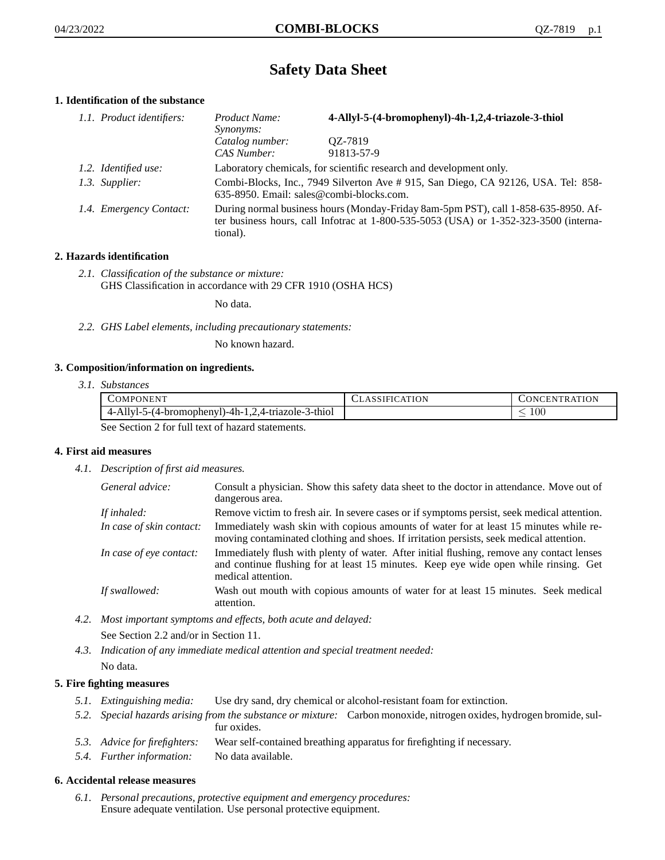# **Safety Data Sheet**

# **1. Identification of the substance**

| 1.1. Product identifiers: | Product Name:<br><i>Synonyms:</i>                                                                                                                                                           | 4-Allyl-5-(4-bromophenyl)-4h-1,2,4-triazole-3-thiol |
|---------------------------|---------------------------------------------------------------------------------------------------------------------------------------------------------------------------------------------|-----------------------------------------------------|
|                           | Catalog number:<br>CAS Number:                                                                                                                                                              | QZ-7819<br>91813-57-9                               |
| 1.2. Identified use:      | Laboratory chemicals, for scientific research and development only.                                                                                                                         |                                                     |
| 1.3. Supplier:            | Combi-Blocks, Inc., 7949 Silverton Ave # 915, San Diego, CA 92126, USA. Tel: 858-<br>635-8950. Email: sales@combi-blocks.com.                                                               |                                                     |
| 1.4. Emergency Contact:   | During normal business hours (Monday-Friday 8am-5pm PST), call 1-858-635-8950. Af-<br>ter business hours, call Infotrac at $1-800-535-5053$ (USA) or $1-352-323-3500$ (interna-<br>tional). |                                                     |

# **2. Hazards identification**

*2.1. Classification of the substance or mixture:* GHS Classification in accordance with 29 CFR 1910 (OSHA HCS)

No data.

*2.2. GHS Label elements, including precautionary statements:*

No known hazard.

#### **3. Composition/information on ingredients.**

*3.1. Substances*

| <b>COMPONENT</b>                                    | <b>ASSIFICATION</b> | CONCENTRATION |
|-----------------------------------------------------|---------------------|---------------|
| 4-Allyl-5-(4-bromophenyl)-4h-1,2,4-triazole-3-thiol |                     | 00            |
| See Section 2 for full tout of here at atoms and    |                     |               |

See Section 2 for full text of hazard statements.

#### **4. First aid measures**

*4.1. Description of first aid measures.*

| General advice:          | Consult a physician. Show this safety data sheet to the doctor in attendance. Move out of<br>dangerous area.                                                                                            |
|--------------------------|---------------------------------------------------------------------------------------------------------------------------------------------------------------------------------------------------------|
| If inhaled:              | Remove victim to fresh air. In severe cases or if symptoms persist, seek medical attention.                                                                                                             |
| In case of skin contact: | Immediately wash skin with copious amounts of water for at least 15 minutes while re-<br>moving contaminated clothing and shoes. If irritation persists, seek medical attention.                        |
| In case of eye contact:  | Immediately flush with plenty of water. After initial flushing, remove any contact lenses<br>and continue flushing for at least 15 minutes. Keep eye wide open while rinsing. Get<br>medical attention. |
| If swallowed:            | Wash out mouth with copious amounts of water for at least 15 minutes. Seek medical<br>attention.                                                                                                        |

*4.2. Most important symptoms and effects, both acute and delayed:*

See Section 2.2 and/or in Section 11.

*4.3. Indication of any immediate medical attention and special treatment needed:* No data.

#### **5. Fire fighting measures**

- *5.1. Extinguishing media:* Use dry sand, dry chemical or alcohol-resistant foam for extinction.
- *5.2. Special hazards arising from the substance or mixture:* Carbon monoxide, nitrogen oxides, hydrogen bromide, sulfur oxides.
- *5.3. Advice for firefighters:* Wear self-contained breathing apparatus for firefighting if necessary.
- *5.4. Further information:* No data available.

# **6. Accidental release measures**

*6.1. Personal precautions, protective equipment and emergency procedures:* Ensure adequate ventilation. Use personal protective equipment.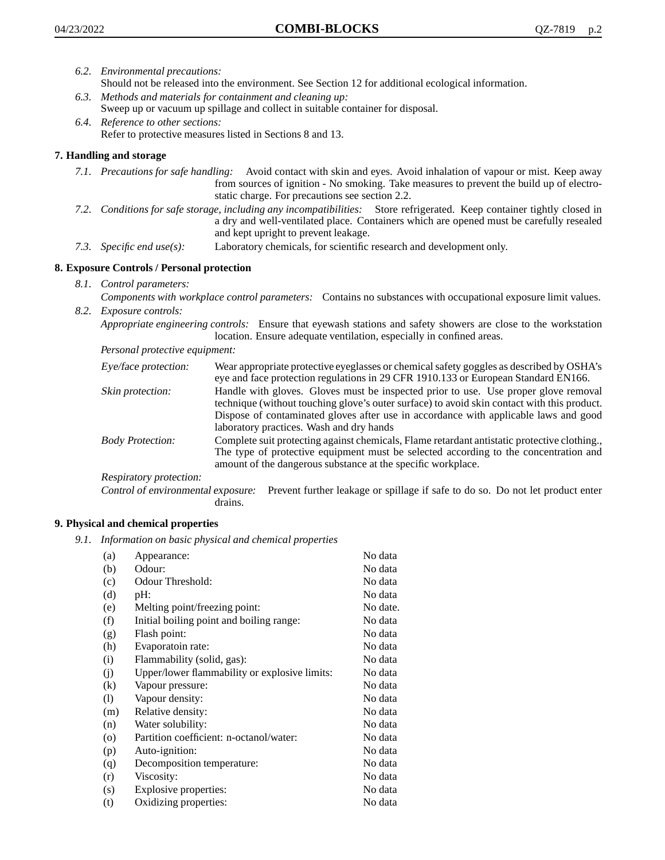- *6.2. Environmental precautions:*
	- Should not be released into the environment. See Section 12 for additional ecological information.
- *6.3. Methods and materials for containment and cleaning up:* Sweep up or vacuum up spillage and collect in suitable container for disposal.
- *6.4. Reference to other sections:* Refer to protective measures listed in Sections 8 and 13.

# **7. Handling and storage**

- *7.1. Precautions for safe handling:* Avoid contact with skin and eyes. Avoid inhalation of vapour or mist. Keep away from sources of ignition - No smoking. Take measures to prevent the build up of electrostatic charge. For precautions see section 2.2.
- *7.2. Conditions for safe storage, including any incompatibilities:* Store refrigerated. Keep container tightly closed in a dry and well-ventilated place. Containers which are opened must be carefully resealed and kept upright to prevent leakage.
- *7.3. Specific end use(s):* Laboratory chemicals, for scientific research and development only.

### **8. Exposure Controls / Personal protection**

*8.1. Control parameters:*

*Components with workplace control parameters:* Contains no substances with occupational exposure limit values. *8.2. Exposure controls:*

*Appropriate engineering controls:* Ensure that eyewash stations and safety showers are close to the workstation location. Ensure adequate ventilation, especially in confined areas.

*Personal protective equipment:*

| Eye/face protection:    | Wear appropriate protective eyeglasses or chemical safety goggles as described by OSHA's<br>eye and face protection regulations in 29 CFR 1910.133 or European Standard EN166.                                                                                                                                         |
|-------------------------|------------------------------------------------------------------------------------------------------------------------------------------------------------------------------------------------------------------------------------------------------------------------------------------------------------------------|
| Skin protection:        | Handle with gloves. Gloves must be inspected prior to use. Use proper glove removal<br>technique (without touching glove's outer surface) to avoid skin contact with this product.<br>Dispose of contaminated gloves after use in accordance with applicable laws and good<br>laboratory practices. Wash and dry hands |
| <b>Body Protection:</b> | Complete suit protecting against chemicals, Flame retardant antistatic protective clothing.,<br>The type of protective equipment must be selected according to the concentration and<br>amount of the dangerous substance at the specific workplace.                                                                   |
| Respiratory protection: |                                                                                                                                                                                                                                                                                                                        |

Control of environmental exposure: Prevent further leakage or spillage if safe to do so. Do not let product enter drains.

#### **9. Physical and chemical properties**

*9.1. Information on basic physical and chemical properties*

| (a)     | Appearance:                                   | No data  |
|---------|-----------------------------------------------|----------|
| (b)     | Odour:                                        | No data  |
| (c)     | Odour Threshold:                              | No data  |
| (d)     | pH:                                           | No data  |
| (e)     | Melting point/freezing point:                 | No date. |
| (f)     | Initial boiling point and boiling range:      | No data  |
| (g)     | Flash point:                                  | No data  |
| (h)     | Evaporatoin rate:                             | No data  |
| (i)     | Flammability (solid, gas):                    | No data  |
| (j)     | Upper/lower flammability or explosive limits: | No data  |
| (k)     | Vapour pressure:                              | No data  |
| (1)     | Vapour density:                               | No data  |
| (m)     | Relative density:                             | No data  |
| (n)     | Water solubility:                             | No data  |
| $\circ$ | Partition coefficient: n-octanol/water:       | No data  |
| (p)     | Auto-ignition:                                | No data  |
| (q)     | Decomposition temperature:                    | No data  |
| (r)     | Viscosity:                                    | No data  |
| (s)     | Explosive properties:                         | No data  |
| (t)     | Oxidizing properties:                         | No data  |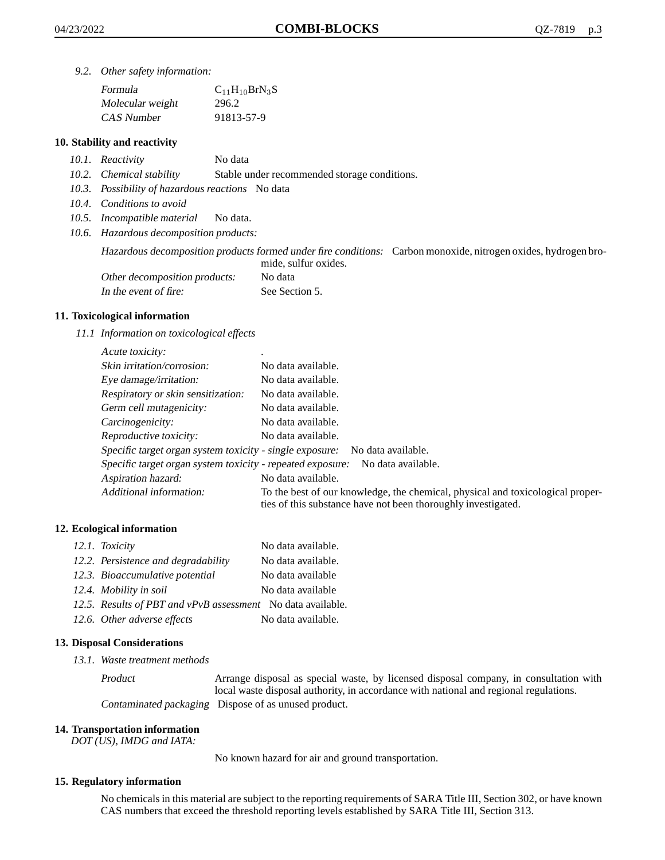*9.2. Other safety information:*

| Formula          | $C_{11}H_{10}BrN_3S$ |
|------------------|----------------------|
| Molecular weight | 296.2                |
| CAS Number       | 91813-57-9           |

#### **10. Stability and reactivity**

- *10.1. Reactivity* No data
- *10.2. Chemical stability* Stable under recommended storage conditions.
- *10.3. Possibility of hazardous reactions* No data
- *10.4. Conditions to avoid*
- *10.5. Incompatible material* No data.
- *10.6. Hazardous decomposition products:*

Hazardous decomposition products formed under fire conditions: Carbon monoxide, nitrogen oxides, hydrogen bromide, sulfur oxides.

| Other decomposition products: | No data        |
|-------------------------------|----------------|
| In the event of fire:         | See Section 5. |

#### **11. Toxicological information**

*11.1 Information on toxicological effects*

| Acute toxicity:                                            |                                                                                                                                                 |
|------------------------------------------------------------|-------------------------------------------------------------------------------------------------------------------------------------------------|
| Skin irritation/corrosion:                                 | No data available.                                                                                                                              |
| Eye damage/irritation:                                     | No data available.                                                                                                                              |
| Respiratory or skin sensitization:                         | No data available.                                                                                                                              |
| Germ cell mutagenicity:                                    | No data available.                                                                                                                              |
| Carcinogenicity:                                           | No data available.                                                                                                                              |
| Reproductive toxicity:                                     | No data available.                                                                                                                              |
| Specific target organ system toxicity - single exposure:   | No data available.                                                                                                                              |
| Specific target organ system toxicity - repeated exposure: | No data available.                                                                                                                              |
| Aspiration hazard:                                         | No data available.                                                                                                                              |
| Additional information:                                    | To the best of our knowledge, the chemical, physical and toxicological proper-<br>ties of this substance have not been thoroughly investigated. |

#### **12. Ecological information**

| 12.1. Toxicity                                              | No data available. |
|-------------------------------------------------------------|--------------------|
| 12.2. Persistence and degradability                         | No data available. |
| 12.3. Bioaccumulative potential                             | No data available  |
| 12.4. Mobility in soil                                      | No data available  |
| 12.5. Results of PBT and vPvB assessment No data available. |                    |
| 12.6. Other adverse effects                                 | No data available. |

#### **13. Disposal Considerations**

*13.1. Waste treatment methods*

Product Arrange disposal as special waste, by licensed disposal company, in consultation with local waste disposal authority, in accordance with national and regional regulations. Contaminated packaging Dispose of as unused product.

#### **14. Transportation information**

*DOT (US), IMDG and IATA:*

No known hazard for air and ground transportation.

#### **15. Regulatory information**

No chemicals in this material are subject to the reporting requirements of SARA Title III, Section 302, or have known CAS numbers that exceed the threshold reporting levels established by SARA Title III, Section 313.